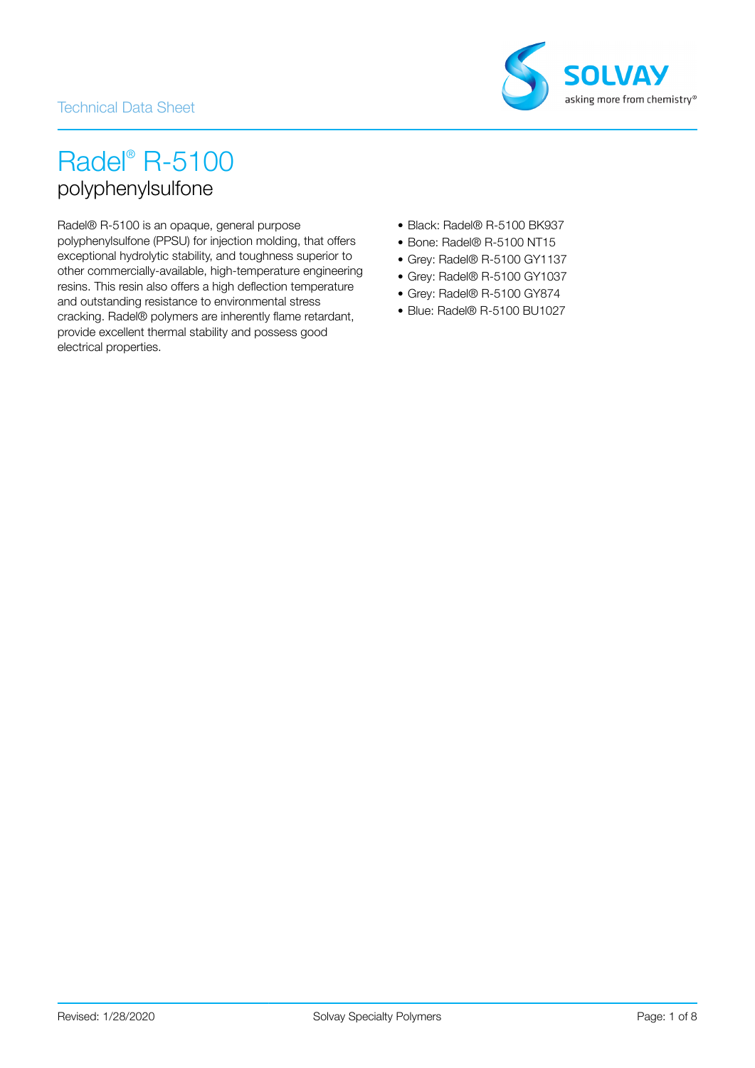### Technical Data Sheet



# Radel® R-5100 polyphenylsulfone

Radel® R-5100 is an opaque, general purpose polyphenylsulfone (PPSU) for injection molding, that offers exceptional hydrolytic stability, and toughness superior to other commercially-available, high-temperature engineering resins. This resin also offers a high deflection temperature and outstanding resistance to environmental stress cracking. Radel® polymers are inherently flame retardant, provide excellent thermal stability and possess good electrical properties.

- Black: Radel® R-5100 BK937
- Bone: Radel® R-5100 NT15
- Grey: Radel® R-5100 GY1137
- Grey: Radel® R-5100 GY1037
- Grey: Radel® R-5100 GY874
- Blue: Radel® R-5100 BU1027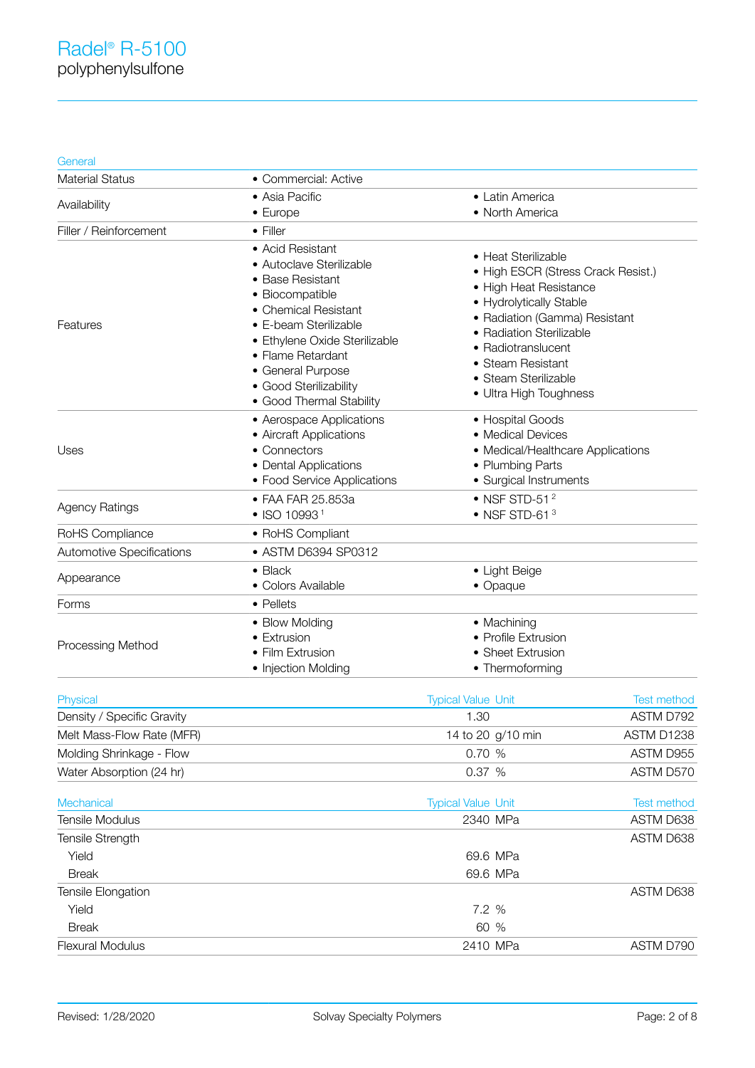#### **General**

| <b>Material Status</b>               | • Commercial: Active                                                                                                                                                                                                                                                  |                                                                                                                                                                                                                                                                          |                                 |
|--------------------------------------|-----------------------------------------------------------------------------------------------------------------------------------------------------------------------------------------------------------------------------------------------------------------------|--------------------------------------------------------------------------------------------------------------------------------------------------------------------------------------------------------------------------------------------------------------------------|---------------------------------|
| Availability                         | • Asia Pacific                                                                                                                                                                                                                                                        | • Latin America                                                                                                                                                                                                                                                          |                                 |
|                                      | • Europe                                                                                                                                                                                                                                                              | • North America                                                                                                                                                                                                                                                          |                                 |
| Filler / Reinforcement               | • Filler                                                                                                                                                                                                                                                              |                                                                                                                                                                                                                                                                          |                                 |
| Features                             | • Acid Resistant<br>• Autoclave Sterilizable<br>• Base Resistant<br>• Biocompatible<br>• Chemical Resistant<br>• E-beam Sterilizable<br>· Ethylene Oxide Sterilizable<br>• Flame Retardant<br>• General Purpose<br>• Good Sterilizability<br>· Good Thermal Stability | • Heat Sterilizable<br>• High ESCR (Stress Crack Resist.)<br>• High Heat Resistance<br>• Hydrolytically Stable<br>• Radiation (Gamma) Resistant<br>• Radiation Sterilizable<br>• Radiotranslucent<br>• Steam Resistant<br>• Steam Sterilizable<br>• Ultra High Toughness |                                 |
| Uses                                 | • Aerospace Applications<br>• Aircraft Applications<br>• Connectors<br>• Dental Applications<br>• Food Service Applications                                                                                                                                           | • Hospital Goods<br>• Medical Devices<br>• Medical/Healthcare Applications<br>• Plumbing Parts<br>• Surgical Instruments                                                                                                                                                 |                                 |
| <b>Agency Ratings</b>                | • FAA FAR 25.853a<br>$\bullet$ ISO 10993 <sup>1</sup>                                                                                                                                                                                                                 | $\bullet$ NSF STD-51 $^{2}$<br>$\bullet$ NSF STD-61 $3$                                                                                                                                                                                                                  |                                 |
| RoHS Compliance                      | • RoHS Compliant                                                                                                                                                                                                                                                      |                                                                                                                                                                                                                                                                          |                                 |
| <b>Automotive Specifications</b>     | • ASTM D6394 SP0312                                                                                                                                                                                                                                                   |                                                                                                                                                                                                                                                                          |                                 |
| Appearance                           | $\bullet$ Black<br>• Colors Available                                                                                                                                                                                                                                 | • Light Beige<br>• Opaque                                                                                                                                                                                                                                                |                                 |
| Forms                                | • Pellets                                                                                                                                                                                                                                                             |                                                                                                                                                                                                                                                                          |                                 |
| Processing Method                    | • Blow Molding<br>• Extrusion<br>· Film Extrusion<br>• Injection Molding                                                                                                                                                                                              | • Machining<br>• Profile Extrusion<br>• Sheet Extrusion<br>• Thermoforming                                                                                                                                                                                               |                                 |
| <b>Physical</b>                      |                                                                                                                                                                                                                                                                       | <b>Typical Value Unit</b>                                                                                                                                                                                                                                                | <b>Test method</b>              |
| Density / Specific Gravity           |                                                                                                                                                                                                                                                                       | 1.30                                                                                                                                                                                                                                                                     | ASTM D792                       |
| Melt Mass-Flow Rate (MFR)            |                                                                                                                                                                                                                                                                       | 14 to 20 g/10 min                                                                                                                                                                                                                                                        | ASTM D1238                      |
| Molding Shrinkage - Flow             |                                                                                                                                                                                                                                                                       | 0.70 %                                                                                                                                                                                                                                                                   | ASTM D955                       |
| Water Absorption (24 hr)             |                                                                                                                                                                                                                                                                       | 0.37 %                                                                                                                                                                                                                                                                   | ASTM D570                       |
| Mechanical<br><b>Tensile Modulus</b> |                                                                                                                                                                                                                                                                       | <b>Typical Value Unit</b><br>2340 MPa                                                                                                                                                                                                                                    | <b>Test method</b><br>ASTM D638 |
| Tensile Strength                     |                                                                                                                                                                                                                                                                       |                                                                                                                                                                                                                                                                          | ASTM D638                       |
| Yield                                |                                                                                                                                                                                                                                                                       | 69.6 MPa                                                                                                                                                                                                                                                                 |                                 |
| <b>Break</b>                         |                                                                                                                                                                                                                                                                       | 69.6 MPa                                                                                                                                                                                                                                                                 |                                 |
| Tensile Elongation                   |                                                                                                                                                                                                                                                                       |                                                                                                                                                                                                                                                                          | ASTM D638                       |
| Yield                                |                                                                                                                                                                                                                                                                       | 7.2 %                                                                                                                                                                                                                                                                    |                                 |
| <b>Break</b>                         |                                                                                                                                                                                                                                                                       | 60 %                                                                                                                                                                                                                                                                     |                                 |
| <b>Flexural Modulus</b>              |                                                                                                                                                                                                                                                                       | 2410 MPa                                                                                                                                                                                                                                                                 | ASTM D790                       |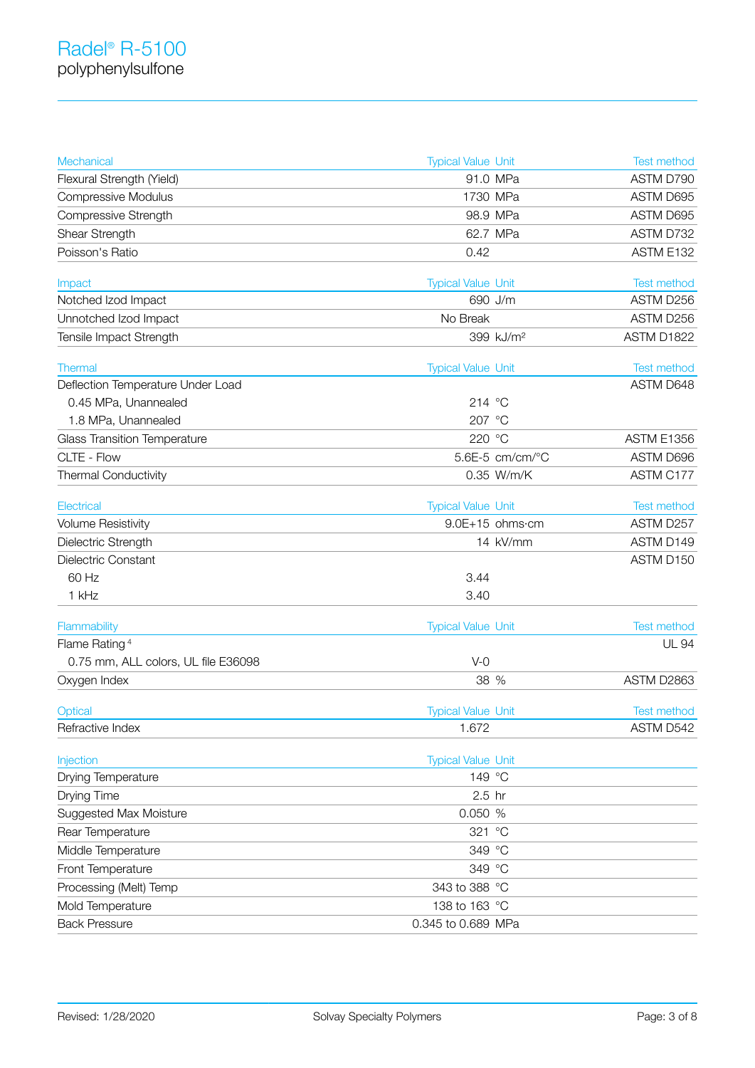| Mechanical                                   | <b>Typical Value Unit</b>            | Test method              |
|----------------------------------------------|--------------------------------------|--------------------------|
| Flexural Strength (Yield)                    | 91.0 MPa                             | ASTM D790                |
| <b>Compressive Modulus</b>                   | 1730 MPa                             | ASTM D695                |
| Compressive Strength                         | 98.9 MPa                             | ASTM D695                |
| Shear Strength                               | 62.7 MPa                             | ASTM D732                |
| Poisson's Ratio                              | 0.42                                 | ASTM E132                |
|                                              |                                      |                          |
| Impact                                       | <b>Typical Value Unit</b><br>690 J/m | Test method<br>ASTM D256 |
| Notched Izod Impact<br>Unnotched Izod Impact | No Break                             | ASTM D256                |
|                                              |                                      |                          |
| Tensile Impact Strength                      | 399 kJ/m <sup>2</sup>                | ASTM D1822               |
| <b>Thermal</b>                               | <b>Typical Value Unit</b>            | <b>Test method</b>       |
| Deflection Temperature Under Load            |                                      | ASTM D648                |
| 0.45 MPa, Unannealed                         | 214 °C                               |                          |
| 1.8 MPa, Unannealed                          | 207 °C                               |                          |
| <b>Glass Transition Temperature</b>          | 220 °C                               | <b>ASTM E1356</b>        |
| CLTE - Flow                                  | 5.6E-5 cm/cm/°C                      | ASTM D696                |
| Thermal Conductivity                         | 0.35 W/m/K                           | ASTM C177                |
| Electrical                                   | <b>Typical Value Unit</b>            | <b>Test method</b>       |
| <b>Volume Resistivity</b>                    | 9.0E+15 ohms·cm                      | ASTM D257                |
| Dielectric Strength                          | 14 kV/mm                             | ASTM D149                |
| Dielectric Constant                          |                                      | ASTM D150                |
| 60 Hz                                        | 3.44                                 |                          |
| 1 kHz                                        | 3.40                                 |                          |
|                                              |                                      |                          |
| Flammability                                 | <b>Typical Value Unit</b>            | <b>Test method</b>       |
| Flame Rating <sup>4</sup>                    |                                      | <b>UL 94</b>             |
| 0.75 mm, ALL colors, UL file E36098          | $V-0$                                |                          |
| Oxygen Index                                 | 38 %                                 | ASTM D2863               |
| Optical                                      | <b>Typical Value Unit</b>            | <b>Test method</b>       |
| Refractive Index                             | 1.672                                | ASTM D542                |
|                                              |                                      |                          |
| Injection                                    | <b>Typical Value Unit</b>            |                          |
| Drying Temperature                           | 149 °C                               |                          |
| Drying Time                                  | 2.5 hr                               |                          |
| <b>Suggested Max Moisture</b>                | 0.050 %                              |                          |
| Rear Temperature                             | 321 °C                               |                          |
| Middle Temperature                           | 349 °C                               |                          |
| Front Temperature                            | 349 °C                               |                          |
| Processing (Melt) Temp                       | 343 to 388 °C                        |                          |
| Mold Temperature                             | 138 to 163 °C                        |                          |
| <b>Back Pressure</b>                         | 0.345 to 0.689 MPa                   |                          |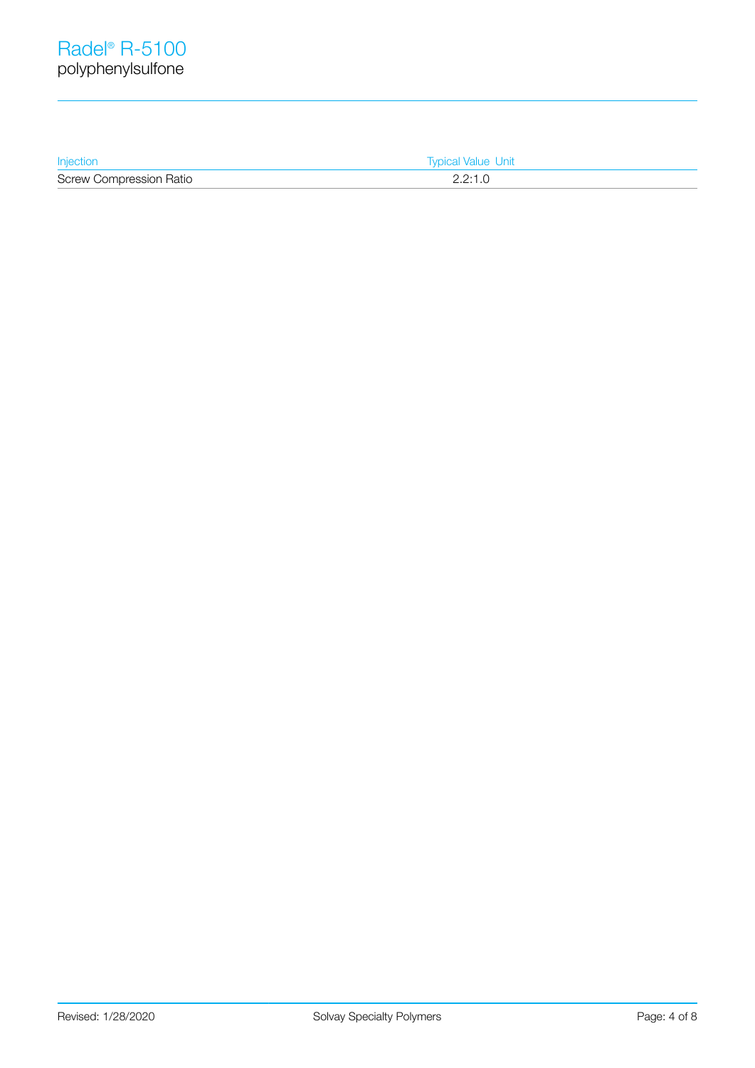| Injection                      | <b>Typical Value Unit</b> |  |
|--------------------------------|---------------------------|--|
| <b>Screw Compression Ratio</b> | 2.2:1.0                   |  |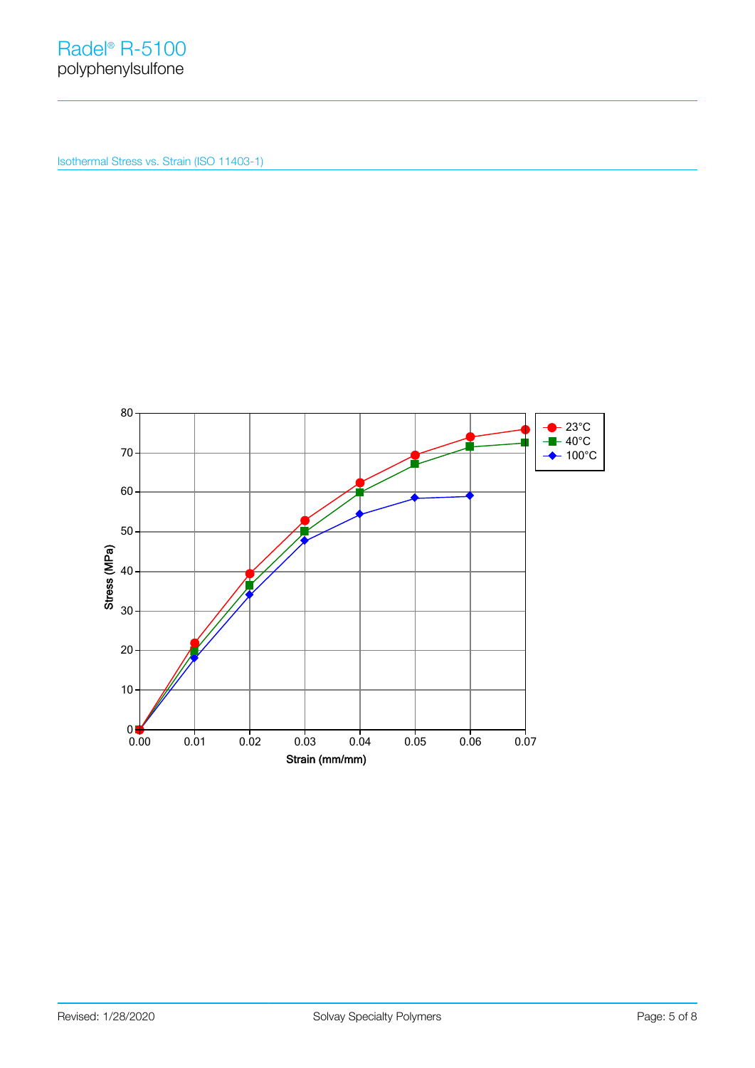Isothermal Stress vs. Strain (ISO 11403-1)

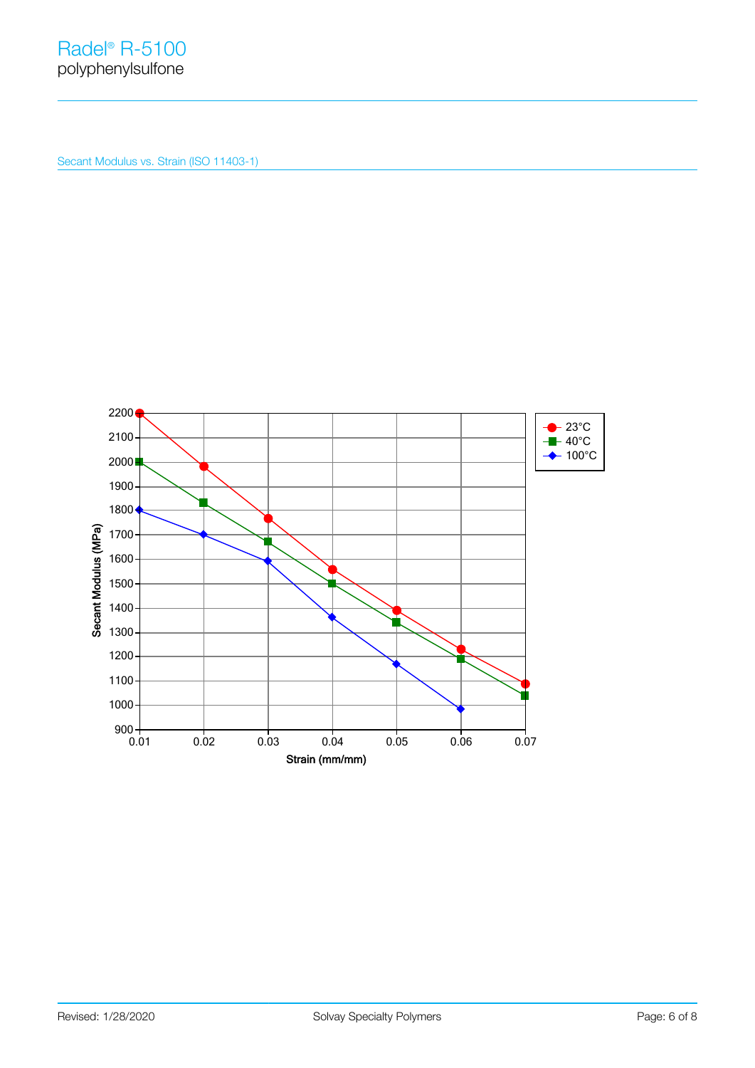Secant Modulus vs. Strain (ISO 11403-1)

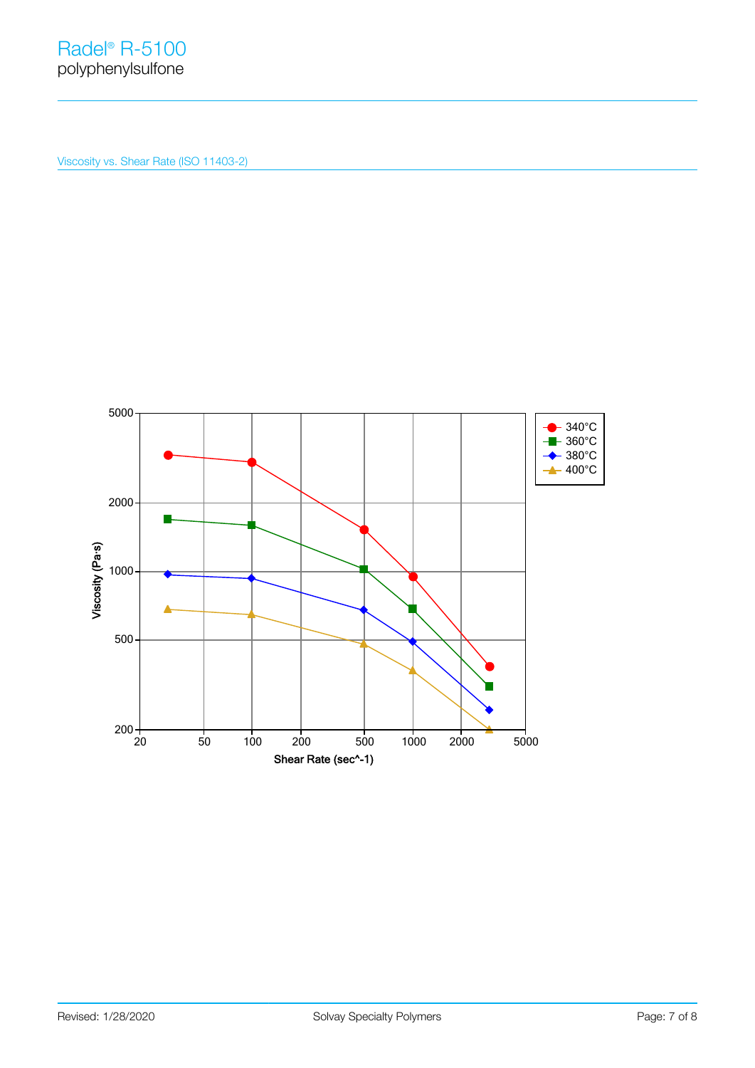Viscosity vs. Shear Rate (ISO 11403-2)